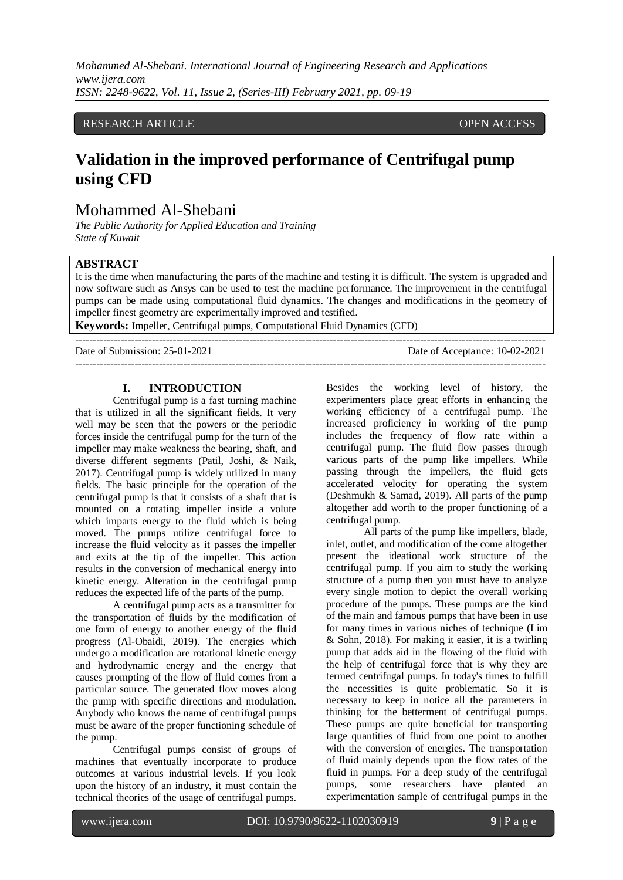## RESEARCH ARTICLE **CONSERVERS** OPEN ACCESS

# **Validation in the improved performance of Centrifugal pump using CFD**

## Mohammed Al-Shebani

*The Public Authority for Applied Education and Training State of Kuwait*

## **ABSTRACT**

It is the time when manufacturing the parts of the machine and testing it is difficult. The system is upgraded and now software such as Ansys can be used to test the machine performance. The improvement in the centrifugal pumps can be made using computational fluid dynamics. The changes and modifications in the geometry of impeller finest geometry are experimentally improved and testified.

**Keywords:** Impeller, Centrifugal pumps, Computational Fluid Dynamics (CFD)

---------------------------------------------------------------------------------------------------------------------------------------

Date of Submission: 25-01-2021 Date of Acceptance: 10-02-2021

 $-1-\frac{1}{2}$ 

## **I. INTRODUCTION**

Centrifugal pump is a fast turning machine that is utilized in all the significant fields. It very well may be seen that the powers or the periodic forces inside the centrifugal pump for the turn of the impeller may make weakness the bearing, shaft, and diverse different segments (Patil, Joshi, & Naik, 2017). Centrifugal pump is widely utilized in many fields. The basic principle for the operation of the centrifugal pump is that it consists of a shaft that is mounted on a rotating impeller inside a volute which imparts energy to the fluid which is being moved. The pumps utilize centrifugal force to increase the fluid velocity as it passes the impeller and exits at the tip of the impeller. This action results in the conversion of mechanical energy into kinetic energy. Alteration in the centrifugal pump reduces the expected life of the parts of the pump.

A centrifugal pump acts as a transmitter for the transportation of fluids by the modification of one form of energy to another energy of the fluid progress (Al-Obaidi, 2019). The energies which undergo a modification are rotational kinetic energy and hydrodynamic energy and the energy that causes prompting of the flow of fluid comes from a particular source. The generated flow moves along the pump with specific directions and modulation. Anybody who knows the name of centrifugal pumps must be aware of the proper functioning schedule of the pump.

Centrifugal pumps consist of groups of machines that eventually incorporate to produce outcomes at various industrial levels. If you look upon the history of an industry, it must contain the technical theories of the usage of centrifugal pumps.

Besides the working level of history, the experimenters place great efforts in enhancing the working efficiency of a centrifugal pump. The increased proficiency in working of the pump includes the frequency of flow rate within a centrifugal pump. The fluid flow passes through various parts of the pump like impellers. While passing through the impellers, the fluid gets accelerated velocity for operating the system (Deshmukh & Samad, 2019). All parts of the pump altogether add worth to the proper functioning of a centrifugal pump.

All parts of the pump like impellers, blade, inlet, outlet, and modification of the come altogether present the ideational work structure of the centrifugal pump. If you aim to study the working structure of a pump then you must have to analyze every single motion to depict the overall working procedure of the pumps. These pumps are the kind of the main and famous pumps that have been in use for many times in various niches of technique (Lim & Sohn, 2018). For making it easier, it is a twirling pump that adds aid in the flowing of the fluid with the help of centrifugal force that is why they are termed centrifugal pumps. In today's times to fulfill the necessities is quite problematic. So it is necessary to keep in notice all the parameters in thinking for the betterment of centrifugal pumps. These pumps are quite beneficial for transporting large quantities of fluid from one point to another with the conversion of energies. The transportation of fluid mainly depends upon the flow rates of the fluid in pumps. For a deep study of the centrifugal pumps, some researchers have planted an experimentation sample of centrifugal pumps in the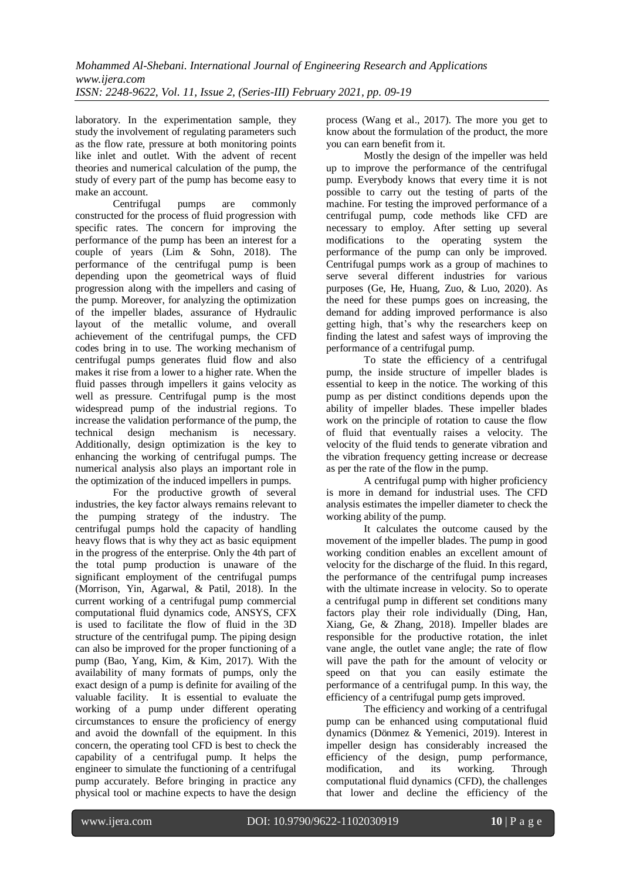laboratory. In the experimentation sample, they study the involvement of regulating parameters such as the flow rate, pressure at both monitoring points like inlet and outlet. With the advent of recent theories and numerical calculation of the pump, the study of every part of the pump has become easy to make an account.

Centrifugal pumps are commonly constructed for the process of fluid progression with specific rates. The concern for improving the performance of the pump has been an interest for a couple of years (Lim & Sohn, 2018). The performance of the centrifugal pump is been depending upon the geometrical ways of fluid progression along with the impellers and casing of the pump. Moreover, for analyzing the optimization of the impeller blades, assurance of Hydraulic layout of the metallic volume, and overall achievement of the centrifugal pumps, the CFD codes bring in to use. The working mechanism of centrifugal pumps generates fluid flow and also makes it rise from a lower to a higher rate. When the fluid passes through impellers it gains velocity as well as pressure. Centrifugal pump is the most widespread pump of the industrial regions. To increase the validation performance of the pump, the technical design mechanism is necessary. Additionally, design optimization is the key to enhancing the working of centrifugal pumps. The numerical analysis also plays an important role in the optimization of the induced impellers in pumps.

For the productive growth of several industries, the key factor always remains relevant to the pumping strategy of the industry. The centrifugal pumps hold the capacity of handling heavy flows that is why they act as basic equipment in the progress of the enterprise. Only the 4th part of the total pump production is unaware of the significant employment of the centrifugal pumps (Morrison, Yin, Agarwal, & Patil, 2018). In the current working of a centrifugal pump commercial computational fluid dynamics code, ANSYS, CFX is used to facilitate the flow of fluid in the 3D structure of the centrifugal pump. The piping design can also be improved for the proper functioning of a pump (Bao, Yang, Kim, & Kim, 2017). With the availability of many formats of pumps, only the exact design of a pump is definite for availing of the valuable facility. It is essential to evaluate the working of a pump under different operating circumstances to ensure the proficiency of energy and avoid the downfall of the equipment. In this concern, the operating tool CFD is best to check the capability of a centrifugal pump. It helps the engineer to simulate the functioning of a centrifugal pump accurately. Before bringing in practice any physical tool or machine expects to have the design

process (Wang et al., 2017). The more you get to know about the formulation of the product, the more you can earn benefit from it.

Mostly the design of the impeller was held up to improve the performance of the centrifugal pump. Everybody knows that every time it is not possible to carry out the testing of parts of the machine. For testing the improved performance of a centrifugal pump, code methods like CFD are necessary to employ. After setting up several modifications to the operating system the performance of the pump can only be improved. Centrifugal pumps work as a group of machines to serve several different industries for various purposes (Ge, He, Huang, Zuo, & Luo, 2020). As the need for these pumps goes on increasing, the demand for adding improved performance is also getting high, that's why the researchers keep on finding the latest and safest ways of improving the performance of a centrifugal pump.

To state the efficiency of a centrifugal pump, the inside structure of impeller blades is essential to keep in the notice. The working of this pump as per distinct conditions depends upon the ability of impeller blades. These impeller blades work on the principle of rotation to cause the flow of fluid that eventually raises a velocity. The velocity of the fluid tends to generate vibration and the vibration frequency getting increase or decrease as per the rate of the flow in the pump.

A centrifugal pump with higher proficiency is more in demand for industrial uses. The CFD analysis estimates the impeller diameter to check the working ability of the pump.

It calculates the outcome caused by the movement of the impeller blades. The pump in good working condition enables an excellent amount of velocity for the discharge of the fluid. In this regard, the performance of the centrifugal pump increases with the ultimate increase in velocity. So to operate a centrifugal pump in different set conditions many factors play their role individually (Ding, Han, Xiang, Ge, & Zhang, 2018). Impeller blades are responsible for the productive rotation, the inlet vane angle, the outlet vane angle; the rate of flow will pave the path for the amount of velocity or speed on that you can easily estimate the performance of a centrifugal pump. In this way, the efficiency of a centrifugal pump gets improved.

The efficiency and working of a centrifugal pump can be enhanced using computational fluid dynamics (Dönmez & Yemenici, 2019). Interest in impeller design has considerably increased the efficiency of the design, pump performance, modification, and its working. Through computational fluid dynamics (CFD), the challenges that lower and decline the efficiency of the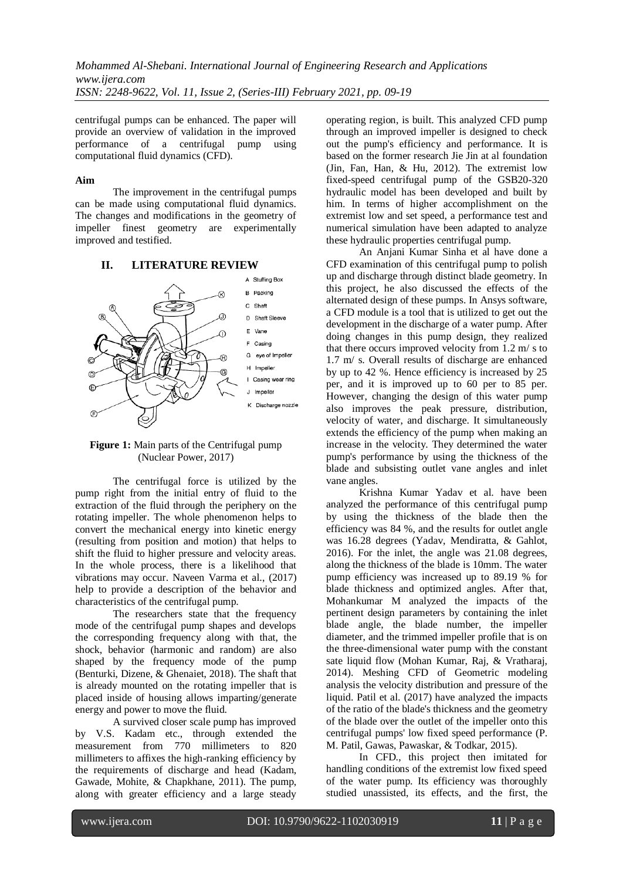centrifugal pumps can be enhanced. The paper will provide an overview of validation in the improved performance of a centrifugal pump using computational fluid dynamics (CFD).

#### **Aim**

The improvement in the centrifugal pumps can be made using computational fluid dynamics. The changes and modifications in the geometry of impeller finest geometry are experimentally improved and testified.

#### **II. LITERATURE REVIEW**



**Figure 1:** Main parts of the Centrifugal pump (Nuclear Power, 2017)

The centrifugal force is utilized by the pump right from the initial entry of fluid to the extraction of the fluid through the periphery on the rotating impeller. The whole phenomenon helps to convert the mechanical energy into kinetic energy (resulting from position and motion) that helps to shift the fluid to higher pressure and velocity areas. In the whole process, there is a likelihood that vibrations may occur. Naveen Varma et al., (2017) help to provide a description of the behavior and characteristics of the centrifugal pump.

The researchers state that the frequency mode of the centrifugal pump shapes and develops the corresponding frequency along with that, the shock, behavior (harmonic and random) are also shaped by the frequency mode of the pump (Benturki, Dizene, & Ghenaiet, 2018). The shaft that is already mounted on the rotating impeller that is placed inside of housing allows imparting/generate energy and power to move the fluid.

A survived closer scale pump has improved by V.S. Kadam etc., through extended the measurement from 770 millimeters to 820 millimeters to affixes the high-ranking efficiency by the requirements of discharge and head (Kadam, Gawade, Mohite, & Chapkhane, 2011). The pump, along with greater efficiency and a large steady operating region, is built. This analyzed CFD pump through an improved impeller is designed to check out the pump's efficiency and performance. It is based on the former research Jie Jin at al foundation (Jin, Fan, Han, & Hu, 2012). The extremist low fixed-speed centrifugal pump of the GSB20-320 hydraulic model has been developed and built by him. In terms of higher accomplishment on the extremist low and set speed, a performance test and numerical simulation have been adapted to analyze these hydraulic properties centrifugal pump.

An Anjani Kumar Sinha et al have done a CFD examination of this centrifugal pump to polish up and discharge through distinct blade geometry. In this project, he also discussed the effects of the alternated design of these pumps. In Ansys software, a CFD module is a tool that is utilized to get out the development in the discharge of a water pump. After doing changes in this pump design, they realized that there occurs improved velocity from 1.2 m/ s to 1.7 m/ s. Overall results of discharge are enhanced by up to 42 %. Hence efficiency is increased by 25 per, and it is improved up to 60 per to 85 per. However, changing the design of this water pump also improves the peak pressure, distribution, velocity of water, and discharge. It simultaneously extends the efficiency of the pump when making an increase in the velocity. They determined the water pump's performance by using the thickness of the blade and subsisting outlet vane angles and inlet vane angles.

Krishna Kumar Yadav et al. have been analyzed the performance of this centrifugal pump by using the thickness of the blade then the efficiency was 84 %, and the results for outlet angle was 16.28 degrees (Yadav, Mendiratta, & Gahlot, 2016). For the inlet, the angle was 21.08 degrees, along the thickness of the blade is 10mm. The water pump efficiency was increased up to 89.19 % for blade thickness and optimized angles. After that, Mohankumar M analyzed the impacts of the pertinent design parameters by containing the inlet blade angle, the blade number, the impeller diameter, and the trimmed impeller profile that is on the three-dimensional water pump with the constant sate liquid flow (Mohan Kumar, Raj, & Vratharaj, 2014). Meshing CFD of Geometric modeling analysis the velocity distribution and pressure of the liquid. Patil et al. (2017) have analyzed the impacts of the ratio of the blade's thickness and the geometry of the blade over the outlet of the impeller onto this centrifugal pumps' low fixed speed performance (P. M. Patil, Gawas, Pawaskar, & Todkar, 2015).

In CFD., this project then imitated for handling conditions of the extremist low fixed speed of the water pump. Its efficiency was thoroughly studied unassisted, its effects, and the first, the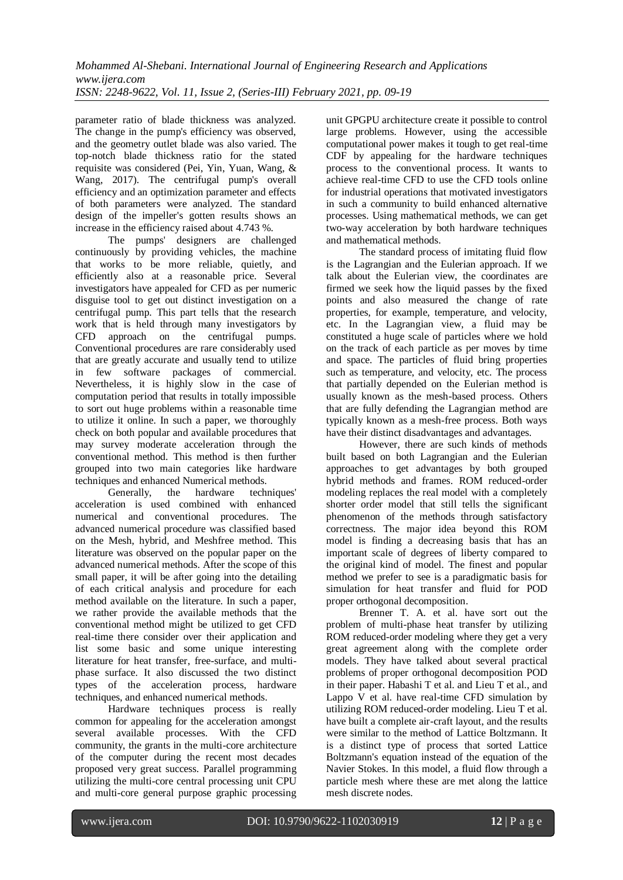parameter ratio of blade thickness was analyzed. The change in the pump's efficiency was observed, and the geometry outlet blade was also varied. The top-notch blade thickness ratio for the stated requisite was considered (Pei, Yin, Yuan, Wang, & Wang, 2017). The centrifugal pump's overall efficiency and an optimization parameter and effects of both parameters were analyzed. The standard design of the impeller's gotten results shows an increase in the efficiency raised about 4.743 %.

The pumps' designers are challenged continuously by providing vehicles, the machine that works to be more reliable, quietly, and efficiently also at a reasonable price. Several investigators have appealed for CFD as per numeric disguise tool to get out distinct investigation on a centrifugal pump. This part tells that the research work that is held through many investigators by CFD approach on the centrifugal pumps. Conventional procedures are rare considerably used that are greatly accurate and usually tend to utilize in few software packages of commercial. Nevertheless, it is highly slow in the case of computation period that results in totally impossible to sort out huge problems within a reasonable time to utilize it online. In such a paper, we thoroughly check on both popular and available procedures that may survey moderate acceleration through the conventional method. This method is then further grouped into two main categories like hardware techniques and enhanced Numerical methods.

Generally, the hardware techniques' acceleration is used combined with enhanced numerical and conventional procedures. The advanced numerical procedure was classified based on the Mesh, hybrid, and Meshfree method. This literature was observed on the popular paper on the advanced numerical methods. After the scope of this small paper, it will be after going into the detailing of each critical analysis and procedure for each method available on the literature. In such a paper, we rather provide the available methods that the conventional method might be utilized to get CFD real-time there consider over their application and list some basic and some unique interesting literature for heat transfer, free-surface, and multiphase surface. It also discussed the two distinct types of the acceleration process, hardware techniques, and enhanced numerical methods.

Hardware techniques process is really common for appealing for the acceleration amongst several available processes. With the CFD community, the grants in the multi-core architecture of the computer during the recent most decades proposed very great success. Parallel programming utilizing the multi-core central processing unit CPU and multi-core general purpose graphic processing unit GPGPU architecture create it possible to control large problems. However, using the accessible computational power makes it tough to get real-time CDF by appealing for the hardware techniques process to the conventional process. It wants to achieve real-time CFD to use the CFD tools online for industrial operations that motivated investigators in such a community to build enhanced alternative processes. Using mathematical methods, we can get two-way acceleration by both hardware techniques and mathematical methods.

The standard process of imitating fluid flow is the Lagrangian and the Eulerian approach. If we talk about the Eulerian view, the coordinates are firmed we seek how the liquid passes by the fixed points and also measured the change of rate properties, for example, temperature, and velocity, etc. In the Lagrangian view, a fluid may be constituted a huge scale of particles where we hold on the track of each particle as per moves by time and space. The particles of fluid bring properties such as temperature, and velocity, etc. The process that partially depended on the Eulerian method is usually known as the mesh-based process. Others that are fully defending the Lagrangian method are typically known as a mesh-free process. Both ways have their distinct disadvantages and advantages.

However, there are such kinds of methods built based on both Lagrangian and the Eulerian approaches to get advantages by both grouped hybrid methods and frames. ROM reduced-order modeling replaces the real model with a completely shorter order model that still tells the significant phenomenon of the methods through satisfactory correctness. The major idea beyond this ROM model is finding a decreasing basis that has an important scale of degrees of liberty compared to the original kind of model. The finest and popular method we prefer to see is a paradigmatic basis for simulation for heat transfer and fluid for POD proper orthogonal decomposition.

Brenner T. A. et al. have sort out the problem of multi-phase heat transfer by utilizing ROM reduced-order modeling where they get a very great agreement along with the complete order models. They have talked about several practical problems of proper orthogonal decomposition POD in their paper. Habashi T et al. and Lieu T et al., and Lappo V et al. have real-time CFD simulation by utilizing ROM reduced-order modeling. Lieu T et al. have built a complete air-craft layout, and the results were similar to the method of Lattice Boltzmann. It is a distinct type of process that sorted Lattice Boltzmann's equation instead of the equation of the Navier Stokes. In this model, a fluid flow through a particle mesh where these are met along the lattice mesh discrete nodes.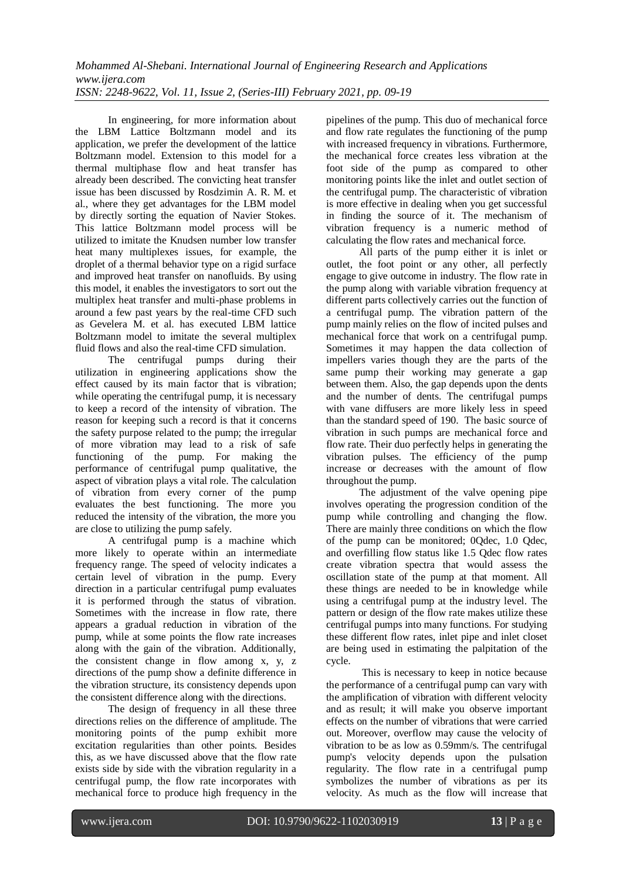In engineering, for more information about the LBM Lattice Boltzmann model and its application, we prefer the development of the lattice Boltzmann model. Extension to this model for a thermal multiphase flow and heat transfer has already been described. The convicting heat transfer issue has been discussed by Rosdzimin A. R. M. et al., where they get advantages for the LBM model by directly sorting the equation of Navier Stokes. This lattice Boltzmann model process will be utilized to imitate the Knudsen number low transfer heat many multiplexes issues, for example, the droplet of a thermal behavior type on a rigid surface and improved heat transfer on nanofluids. By using this model, it enables the investigators to sort out the multiplex heat transfer and multi-phase problems in around a few past years by the real-time CFD such as Gevelera M. et al. has executed LBM lattice Boltzmann model to imitate the several multiplex fluid flows and also the real-time CFD simulation.

The centrifugal pumps during their utilization in engineering applications show the effect caused by its main factor that is vibration; while operating the centrifugal pump, it is necessary to keep a record of the intensity of vibration. The reason for keeping such a record is that it concerns the safety purpose related to the pump; the irregular of more vibration may lead to a risk of safe functioning of the pump. For making the performance of centrifugal pump qualitative, the aspect of vibration plays a vital role. The calculation of vibration from every corner of the pump evaluates the best functioning. The more you reduced the intensity of the vibration, the more you are close to utilizing the pump safely.

A centrifugal pump is a machine which more likely to operate within an intermediate frequency range. The speed of velocity indicates a certain level of vibration in the pump. Every direction in a particular centrifugal pump evaluates it is performed through the status of vibration. Sometimes with the increase in flow rate, there appears a gradual reduction in vibration of the pump, while at some points the flow rate increases along with the gain of the vibration. Additionally, the consistent change in flow among x, y, z directions of the pump show a definite difference in the vibration structure, its consistency depends upon the consistent difference along with the directions.

The design of frequency in all these three directions relies on the difference of amplitude. The monitoring points of the pump exhibit more excitation regularities than other points. Besides this, as we have discussed above that the flow rate exists side by side with the vibration regularity in a centrifugal pump, the flow rate incorporates with mechanical force to produce high frequency in the pipelines of the pump. This duo of mechanical force and flow rate regulates the functioning of the pump with increased frequency in vibrations. Furthermore, the mechanical force creates less vibration at the foot side of the pump as compared to other monitoring points like the inlet and outlet section of the centrifugal pump. The characteristic of vibration is more effective in dealing when you get successful in finding the source of it. The mechanism of vibration frequency is a numeric method of calculating the flow rates and mechanical force.

All parts of the pump either it is inlet or outlet, the foot point or any other, all perfectly engage to give outcome in industry. The flow rate in the pump along with variable vibration frequency at different parts collectively carries out the function of a centrifugal pump. The vibration pattern of the pump mainly relies on the flow of incited pulses and mechanical force that work on a centrifugal pump. Sometimes it may happen the data collection of impellers varies though they are the parts of the same pump their working may generate a gap between them. Also, the gap depends upon the dents and the number of dents. The centrifugal pumps with vane diffusers are more likely less in speed than the standard speed of 190. The basic source of vibration in such pumps are mechanical force and flow rate. Their duo perfectly helps in generating the vibration pulses. The efficiency of the pump increase or decreases with the amount of flow throughout the pump.

The adjustment of the valve opening pipe involves operating the progression condition of the pump while controlling and changing the flow. There are mainly three conditions on which the flow of the pump can be monitored; 0Qdec, 1.0 Qdec, and overfilling flow status like 1.5 Qdec flow rates create vibration spectra that would assess the oscillation state of the pump at that moment. All these things are needed to be in knowledge while using a centrifugal pump at the industry level. The pattern or design of the flow rate makes utilize these centrifugal pumps into many functions. For studying these different flow rates, inlet pipe and inlet closet are being used in estimating the palpitation of the cycle.

This is necessary to keep in notice because the performance of a centrifugal pump can vary with the amplification of vibration with different velocity and as result; it will make you observe important effects on the number of vibrations that were carried out. Moreover, overflow may cause the velocity of vibration to be as low as 0.59mm/s. The centrifugal pump's velocity depends upon the pulsation regularity. The flow rate in a centrifugal pump symbolizes the number of vibrations as per its velocity. As much as the flow will increase that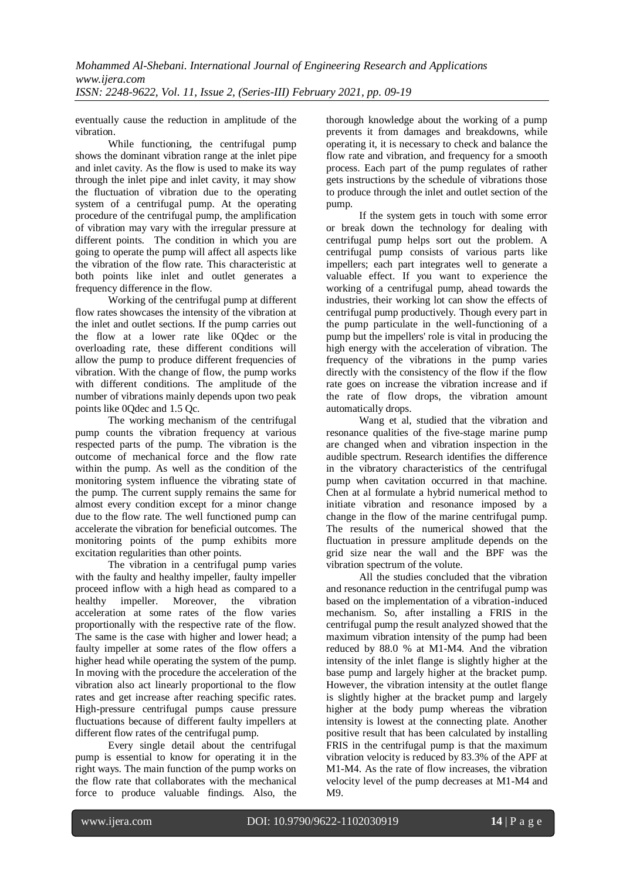eventually cause the reduction in amplitude of the vibration.

While functioning, the centrifugal pump shows the dominant vibration range at the inlet pipe and inlet cavity. As the flow is used to make its way through the inlet pipe and inlet cavity, it may show the fluctuation of vibration due to the operating system of a centrifugal pump. At the operating procedure of the centrifugal pump, the amplification of vibration may vary with the irregular pressure at different points. The condition in which you are going to operate the pump will affect all aspects like the vibration of the flow rate. This characteristic at both points like inlet and outlet generates a frequency difference in the flow.

Working of the centrifugal pump at different flow rates showcases the intensity of the vibration at the inlet and outlet sections. If the pump carries out the flow at a lower rate like 0Qdec or the overloading rate, these different conditions will allow the pump to produce different frequencies of vibration. With the change of flow, the pump works with different conditions. The amplitude of the number of vibrations mainly depends upon two peak points like 0Qdec and 1.5 Qc.

The working mechanism of the centrifugal pump counts the vibration frequency at various respected parts of the pump. The vibration is the outcome of mechanical force and the flow rate within the pump. As well as the condition of the monitoring system influence the vibrating state of the pump. The current supply remains the same for almost every condition except for a minor change due to the flow rate. The well functioned pump can accelerate the vibration for beneficial outcomes. The monitoring points of the pump exhibits more excitation regularities than other points.

The vibration in a centrifugal pump varies with the faulty and healthy impeller, faulty impeller proceed inflow with a high head as compared to a healthy impeller. Moreover, the vibration acceleration at some rates of the flow varies proportionally with the respective rate of the flow. The same is the case with higher and lower head; a faulty impeller at some rates of the flow offers a higher head while operating the system of the pump. In moving with the procedure the acceleration of the vibration also act linearly proportional to the flow rates and get increase after reaching specific rates. High-pressure centrifugal pumps cause pressure fluctuations because of different faulty impellers at different flow rates of the centrifugal pump.

Every single detail about the centrifugal pump is essential to know for operating it in the right ways. The main function of the pump works on the flow rate that collaborates with the mechanical force to produce valuable findings. Also, the thorough knowledge about the working of a pump prevents it from damages and breakdowns, while operating it, it is necessary to check and balance the flow rate and vibration, and frequency for a smooth process. Each part of the pump regulates of rather gets instructions by the schedule of vibrations those to produce through the inlet and outlet section of the pump.

If the system gets in touch with some error or break down the technology for dealing with centrifugal pump helps sort out the problem. A centrifugal pump consists of various parts like impellers; each part integrates well to generate a valuable effect. If you want to experience the working of a centrifugal pump, ahead towards the industries, their working lot can show the effects of centrifugal pump productively. Though every part in the pump particulate in the well-functioning of a pump but the impellers' role is vital in producing the high energy with the acceleration of vibration. The frequency of the vibrations in the pump varies directly with the consistency of the flow if the flow rate goes on increase the vibration increase and if the rate of flow drops, the vibration amount automatically drops.

Wang et al, studied that the vibration and resonance qualities of the five-stage marine pump are changed when and vibration inspection in the audible spectrum. Research identifies the difference in the vibratory characteristics of the centrifugal pump when cavitation occurred in that machine. Chen at al formulate a hybrid numerical method to initiate vibration and resonance imposed by a change in the flow of the marine centrifugal pump. The results of the numerical showed that the fluctuation in pressure amplitude depends on the grid size near the wall and the BPF was the vibration spectrum of the volute.

All the studies concluded that the vibration and resonance reduction in the centrifugal pump was based on the implementation of a vibration-induced mechanism. So, after installing a FRIS in the centrifugal pump the result analyzed showed that the maximum vibration intensity of the pump had been reduced by 88.0 % at M1-M4. And the vibration intensity of the inlet flange is slightly higher at the base pump and largely higher at the bracket pump. However, the vibration intensity at the outlet flange is slightly higher at the bracket pump and largely higher at the body pump whereas the vibration intensity is lowest at the connecting plate. Another positive result that has been calculated by installing FRIS in the centrifugal pump is that the maximum vibration velocity is reduced by 83.3% of the APF at M1-M4. As the rate of flow increases, the vibration velocity level of the pump decreases at M1-M4 and M9.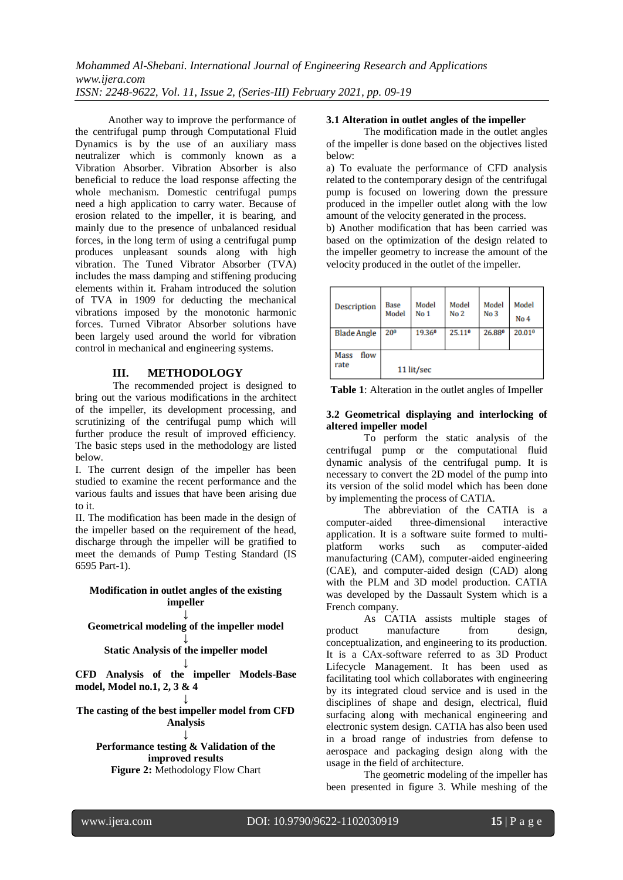Another way to improve the performance of the centrifugal pump through Computational Fluid Dynamics is by the use of an auxiliary mass neutralizer which is commonly known as a Vibration Absorber. Vibration Absorber is also beneficial to reduce the load response affecting the whole mechanism. Domestic centrifugal pumps need a high application to carry water. Because of erosion related to the impeller, it is bearing, and mainly due to the presence of unbalanced residual forces, in the long term of using a centrifugal pump produces unpleasant sounds along with high vibration. The Tuned Vibrator Absorber (TVA) includes the mass damping and stiffening producing elements within it. Fraham introduced the solution of TVA in 1909 for deducting the mechanical vibrations imposed by the monotonic harmonic forces. Turned Vibrator Absorber solutions have been largely used around the world for vibration control in mechanical and engineering systems.

#### **III. METHODOLOGY**

The recommended project is designed to bring out the various modifications in the architect of the impeller, its development processing, and scrutinizing of the centrifugal pump which will further produce the result of improved efficiency. The basic steps used in the methodology are listed below.

I. The current design of the impeller has been studied to examine the recent performance and the various faults and issues that have been arising due to it.

II. The modification has been made in the design of the impeller based on the requirement of the head, discharge through the impeller will be gratified to meet the demands of Pump Testing Standard (IS 6595 Part-1).

#### **Modification in outlet angles of the existing impeller**

#### **↓ Geometrical modeling of the impeller model**

#### **↓ Static Analysis of the impeller model**

**↓ CFD Analysis of the impeller Models-Base model, Model no.1, 2, 3 & 4** 

#### **↓ The casting of the best impeller model from CFD Analysis**

## **↓**

**Performance testing & Validation of the improved results Figure 2:** Methodology Flow Chart

#### **3.1 Alteration in outlet angles of the impeller**

The modification made in the outlet angles of the impeller is done based on the objectives listed below:

a) To evaluate the performance of CFD analysis related to the contemporary design of the centrifugal pump is focused on lowering down the pressure produced in the impeller outlet along with the low amount of the velocity generated in the process.

b) Another modification that has been carried was based on the optimization of the design related to the impeller geometry to increase the amount of the velocity produced in the outlet of the impeller.

| Description<br><b>Blade Angle</b> | Base<br>Model<br>20 <sup>0</sup> | Model<br>No <sub>1</sub><br>19.360 | Model<br>No <sub>2</sub><br>25.110 | Model<br>No <sub>3</sub><br>26.880 | Model<br>No <sub>4</sub><br>20.010 |
|-----------------------------------|----------------------------------|------------------------------------|------------------------------------|------------------------------------|------------------------------------|
| Mass<br>flow<br>rate              |                                  | 11 lit/sec                         |                                    |                                    |                                    |

**Table 1**: Alteration in the outlet angles of Impeller

#### **3.2 Geometrical displaying and interlocking of altered impeller model**

To perform the static analysis of the centrifugal pump or the computational fluid dynamic analysis of the centrifugal pump. It is necessary to convert the 2D model of the pump into its version of the solid model which has been done by implementing the process of CATIA.

The abbreviation of the CATIA is a computer-aided three-dimensional interactive application. It is a software suite formed to multiplatform works such as computer-aided manufacturing (CAM), computer-aided engineering (CAE), and computer-aided design (CAD) along with the PLM and 3D model production. CATIA was developed by the Dassault System which is a French company.

As CATIA assists multiple stages of product manufacture from design, conceptualization, and engineering to its production. It is a CAx-software referred to as 3D Product Lifecycle Management. It has been used as facilitating tool which collaborates with engineering by its integrated cloud service and is used in the disciplines of shape and design, electrical, fluid surfacing along with mechanical engineering and electronic system design. CATIA has also been used in a broad range of industries from defense to aerospace and packaging design along with the usage in the field of architecture.

The geometric modeling of the impeller has been presented in figure 3. While meshing of the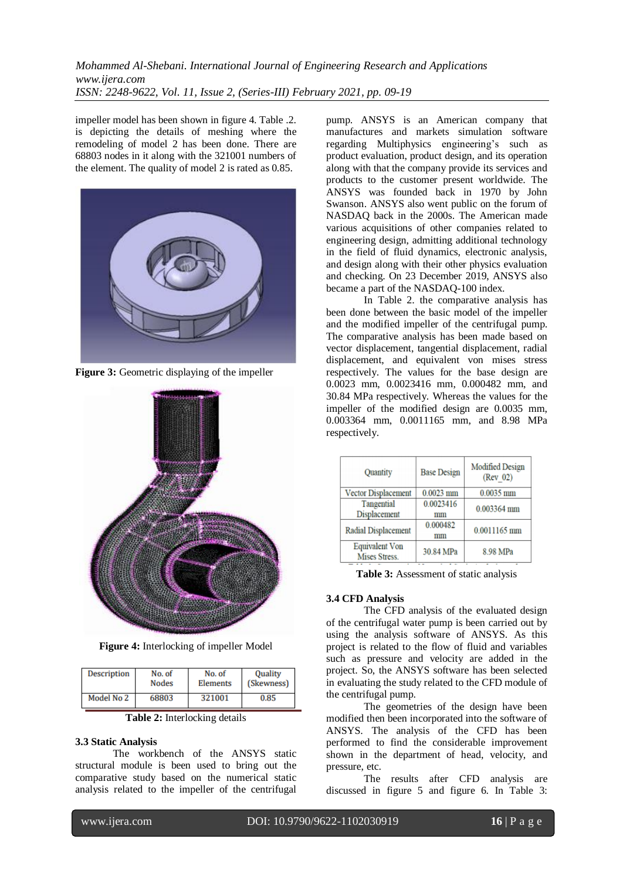impeller model has been shown in figure 4. Table .2. is depicting the details of meshing where the remodeling of model 2 has been done. There are 68803 nodes in it along with the 321001 numbers of the element. The quality of model 2 is rated as 0.85.



**Figure 3:** Geometric displaying of the impeller



**Figure 4:** Interlocking of impeller Model

| Description | No. of       | No. of   | <b>Ouality</b> |
|-------------|--------------|----------|----------------|
|             | <b>Nodes</b> | Elements | (Skewness)     |
| Model No 2  | 68803        | 321001   | 0.85           |

**Table 2:** Interlocking details

#### **3.3 Static Analysis**

The workbench of the ANSYS static structural module is been used to bring out the comparative study based on the numerical static analysis related to the impeller of the centrifugal pump. ANSYS is an American company that manufactures and markets simulation software regarding Multiphysics engineering's such as product evaluation, product design, and its operation along with that the company provide its services and products to the customer present worldwide. The ANSYS was founded back in 1970 by John Swanson. ANSYS also went public on the forum of NASDAQ back in the 2000s. The American made various acquisitions of other companies related to engineering design, admitting additional technology in the field of fluid dynamics, electronic analysis, and design along with their other physics evaluation and checking. On 23 December 2019, ANSYS also became a part of the NASDAQ-100 index.

In Table 2. the comparative analysis has been done between the basic model of the impeller and the modified impeller of the centrifugal pump. The comparative analysis has been made based on vector displacement, tangential displacement, radial displacement, and equivalent von mises stress respectively. The values for the base design are 0.0023 mm, 0.0023416 mm, 0.000482 mm, and 30.84 MPa respectively. Whereas the values for the impeller of the modified design are 0.0035 mm, 0.003364 mm, 0.0011165 mm, and 8.98 MPa respectively.

| Quantity                               | <b>Base Design</b> | Modified Design<br>(Rev 02) |
|----------------------------------------|--------------------|-----------------------------|
| Vector Displacement                    | $0.0023$ mm        | $0.0035$ mm                 |
| Tangential<br>Displacement             | 0.0023416<br>mm    | 0.003364 mm                 |
| Radial Displacement                    | 0.000482<br>mm     | 0.0011165 mm                |
| <b>Equivalent Von</b><br>Mises Stress. | 30.84 MPa          | 8.98 MPa                    |

**Table 3:** Assessment of static analysis

#### **3.4 CFD Analysis**

The CFD analysis of the evaluated design of the centrifugal water pump is been carried out by using the analysis software of ANSYS. As this project is related to the flow of fluid and variables such as pressure and velocity are added in the project. So, the ANSYS software has been selected in evaluating the study related to the CFD module of the centrifugal pump.

The geometries of the design have been modified then been incorporated into the software of ANSYS. The analysis of the CFD has been performed to find the considerable improvement shown in the department of head, velocity, and pressure, etc.

The results after CFD analysis are discussed in figure 5 and figure 6. In Table 3: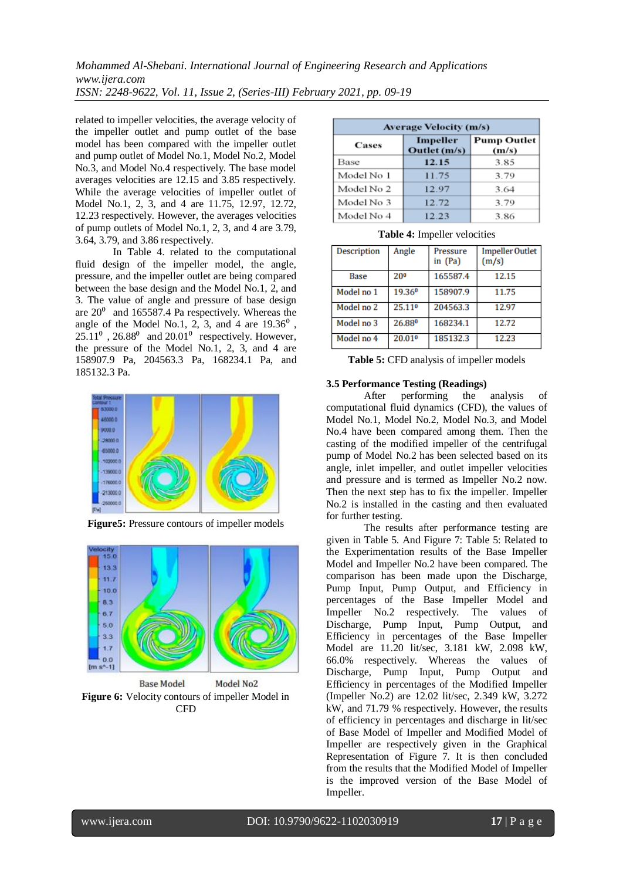related to impeller velocities, the average velocity of the impeller outlet and pump outlet of the base model has been compared with the impeller outlet and pump outlet of Model No.1, Model No.2, Model No.3, and Model No.4 respectively. The base model averages velocities are 12.15 and 3.85 respectively. While the average velocities of impeller outlet of Model No.1, 2, 3, and 4 are 11.75, 12.97, 12.72, 12.23 respectively. However, the averages velocities of pump outlets of Model No.1, 2, 3, and 4 are 3.79, 3.64, 3.79, and 3.86 respectively.

In Table 4. related to the computational fluid design of the impeller model, the angle, pressure, and the impeller outlet are being compared between the base design and the Model No.1, 2, and 3. The value of angle and pressure of base design are  $20^{\circ}$  and 165587.4 Pa respectively. Whereas the angle of the Model No.1, 2, 3, and 4 are  $19.36<sup>0</sup>$ ,  $25.11^{\circ}$ ,  $26.88^{\circ}$  and  $20.01^{\circ}$  respectively. However, the pressure of the Model No.1, 2, 3, and 4 are 158907.9 Pa, 204563.3 Pa, 168234.1 Pa, and 185132.3 Pa.



**Figure5:** Pressure contours of impeller models



**Figure 6:** Velocity contours of impeller Model in CFD

| <b>Average Velocity (m/s)</b> |                          |                             |  |
|-------------------------------|--------------------------|-----------------------------|--|
| Cases                         | Impeller<br>Outlet (m/s) | <b>Pump Outlet</b><br>(m/s) |  |
| Base                          | 12.15                    | 3.85                        |  |
| Model No 1                    | 11.75                    | 3.79                        |  |
| Model No 2                    | 12.97                    | 3.64                        |  |
| Model No 3                    | 12.72                    | 3.79                        |  |
| Model No 4                    | 12.23                    | 3.86                        |  |

**Table 4:** Impeller velocities

| Description | Angle           | Pressure<br>in $(Pa)$ | <b>Impeller Outlet</b><br>(m/s) |
|-------------|-----------------|-----------------------|---------------------------------|
| Base        | 20 <sup>0</sup> | 165587.4              | 12.15                           |
| Model no 1  | 19.360          | 158907.9              | 11.75                           |
| Model no 2  | 25.110          | 204563.3              | 12.97                           |
| Model no 3  | 26.880          | 168234.1              | 12.72                           |
| Model no 4  | 20.010          | 185132.3              | 12.23                           |

**Table 5:** CFD analysis of impeller models

#### **3.5 Performance Testing (Readings)**

After performing the analysis of computational fluid dynamics (CFD), the values of Model No.1, Model No.2, Model No.3, and Model No.4 have been compared among them. Then the casting of the modified impeller of the centrifugal pump of Model No.2 has been selected based on its angle, inlet impeller, and outlet impeller velocities and pressure and is termed as Impeller No.2 now. Then the next step has to fix the impeller. Impeller No.2 is installed in the casting and then evaluated for further testing.

The results after performance testing are given in Table 5. And Figure 7: Table 5: Related to the Experimentation results of the Base Impeller Model and Impeller No.2 have been compared. The comparison has been made upon the Discharge, Pump Input, Pump Output, and Efficiency in percentages of the Base Impeller Model and Impeller No.2 respectively. The values of Discharge, Pump Input, Pump Output, and Efficiency in percentages of the Base Impeller Model are 11.20 lit/sec, 3.181 kW, 2.098 kW, 66.0% respectively. Whereas the values of Discharge, Pump Input, Pump Output and Efficiency in percentages of the Modified Impeller (Impeller No.2) are 12.02 lit/sec, 2.349 kW, 3.272 kW, and 71.79 % respectively. However, the results of efficiency in percentages and discharge in lit/sec of Base Model of Impeller and Modified Model of Impeller are respectively given in the Graphical Representation of Figure 7. It is then concluded from the results that the Modified Model of Impeller is the improved version of the Base Model of Impeller.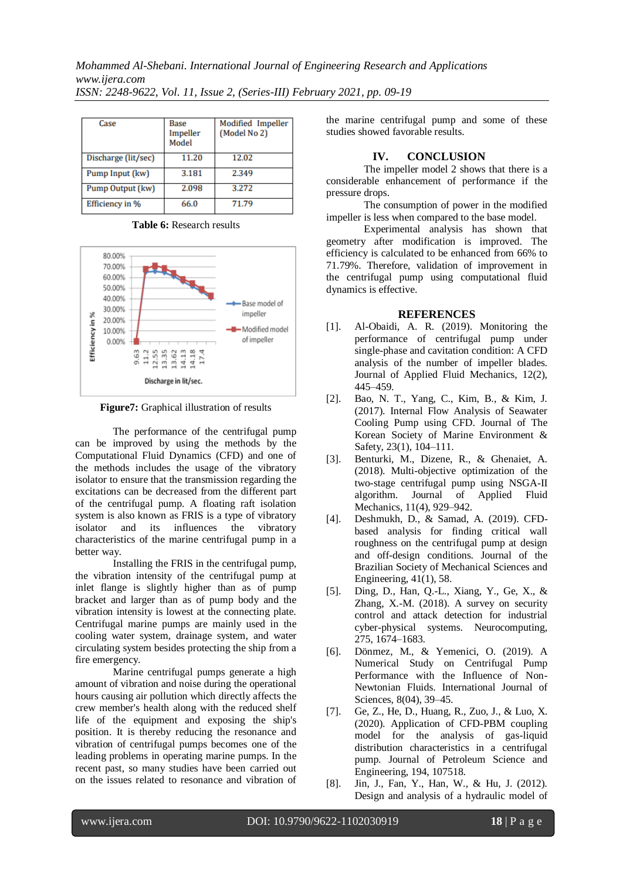| Case                | Base<br>Impeller<br>Model | Modified Impeller<br>(Model No 2) |
|---------------------|---------------------------|-----------------------------------|
| Discharge (lit/sec) | 11.20                     | 12.02                             |
| Pump Input (kw)     | 3.181                     | 2.349                             |
| Pump Output (kw)    | 2.098                     | 3.272                             |
| Efficiency in %     | 66.0                      | 71.79                             |

**Table 6:** Research results



**Figure7:** Graphical illustration of results

The performance of the centrifugal pump can be improved by using the methods by the Computational Fluid Dynamics (CFD) and one of the methods includes the usage of the vibratory isolator to ensure that the transmission regarding the excitations can be decreased from the different part of the centrifugal pump. A floating raft isolation system is also known as FRIS is a type of vibratory isolator and its influences the vibratory characteristics of the marine centrifugal pump in a better way.

Installing the FRIS in the centrifugal pump, the vibration intensity of the centrifugal pump at inlet flange is slightly higher than as of pump bracket and larger than as of pump body and the vibration intensity is lowest at the connecting plate. Centrifugal marine pumps are mainly used in the cooling water system, drainage system, and water circulating system besides protecting the ship from a fire emergency.

Marine centrifugal pumps generate a high amount of vibration and noise during the operational hours causing air pollution which directly affects the crew member's health along with the reduced shelf life of the equipment and exposing the ship's position. It is thereby reducing the resonance and vibration of centrifugal pumps becomes one of the leading problems in operating marine pumps. In the recent past, so many studies have been carried out on the issues related to resonance and vibration of the marine centrifugal pump and some of these studies showed favorable results.

## **IV. CONCLUSION**

The impeller model 2 shows that there is a considerable enhancement of performance if the pressure drops.

The consumption of power in the modified impeller is less when compared to the base model.

Experimental analysis has shown that geometry after modification is improved. The efficiency is calculated to be enhanced from 66% to 71.79%. Therefore, validation of improvement in the centrifugal pump using computational fluid dynamics is effective.

## **REFERENCES**

- [1]. Al-Obaidi, A. R. (2019). Monitoring the performance of centrifugal pump under single-phase and cavitation condition: A CFD analysis of the number of impeller blades. Journal of Applied Fluid Mechanics, 12(2), 445–459.
- [2]. Bao, N. T., Yang, C., Kim, B., & Kim, J. (2017). Internal Flow Analysis of Seawater Cooling Pump using CFD. Journal of The Korean Society of Marine Environment & Safety, 23(1), 104–111.
- [3]. Benturki, M., Dizene, R., & Ghenaiet, A. (2018). Multi-objective optimization of the two-stage centrifugal pump using NSGA-II algorithm. Journal of Applied Fluid Mechanics, 11(4), 929–942.
- [4]. Deshmukh, D., & Samad, A. (2019). CFDbased analysis for finding critical wall roughness on the centrifugal pump at design and off-design conditions. Journal of the Brazilian Society of Mechanical Sciences and Engineering, 41(1), 58.
- [5]. Ding, D., Han, Q.-L., Xiang, Y., Ge, X., & Zhang, X.-M. (2018). A survey on security control and attack detection for industrial cyber-physical systems. Neurocomputing, 275, 1674–1683.
- [6]. Dönmez, M., & Yemenici, O. (2019). A Numerical Study on Centrifugal Pump Performance with the Influence of Non-Newtonian Fluids. International Journal of Sciences, 8(04), 39–45.
- [7]. Ge, Z., He, D., Huang, R., Zuo, J., & Luo, X. (2020). Application of CFD-PBM coupling model for the analysis of gas-liquid distribution characteristics in a centrifugal pump. Journal of Petroleum Science and Engineering, 194, 107518.
- [8]. Jin, J., Fan, Y., Han, W., & Hu, J. (2012). Design and analysis of a hydraulic model of